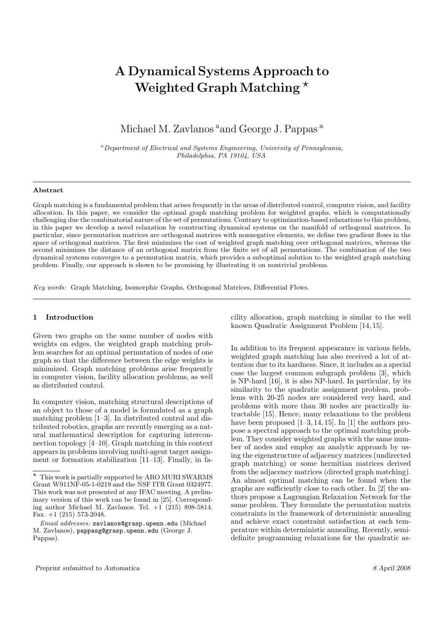# A Dynamical Systems Approach to Weighted Graph Matching  $\star$

## Michael M. Zavlanos <sup>a</sup>and George J. Pappas <sup>a</sup>

<sup>a</sup>Department of Electrical and Systems Engineering, University of Pennsylvania, Philadelphia, PA 19104, USA

#### Abstract

Graph matching is a fundamental problem that arises frequently in the areas of distributed control, computer vision, and facility allocation. In this paper, we consider the optimal graph matching problem for weighted graphs, which is computationally challenging due the combinatorial nature of the set of permutations. Contrary to optimization-based relaxations to this problem, in this paper we develop a novel relaxation by constructing dynamical systems on the manifold of orthogonal matrices. In particular, since permutation matrices are orthogonal matrices with nonnegative elements, we define two gradient flows in the space of orthogonal matrices. The first minimizes the cost of weighted graph matching over orthogonal matrices, whereas the second minimizes the distance of an orthogonal matrix from the finite set of all permutations. The combination of the two dynamical systems converges to a permutation matrix, which provides a suboptimal solution to the weighted graph matching problem. Finally, our approach is shown to be promising by illustrating it on nontrivial problems.

Key words: Graph Matching, Isomorphic Graphs, Orthogonal Matrices, Differential Flows.

## 1 Introduction

Given two graphs on the same number of nodes with weights on edges, the weighted graph matching problem searches for an optimal permutation of nodes of one graph so that the difference between the edge weights is minimized. Graph matching problems arise frequently in computer vision, facility allocation problems, as well as distributed control.

In computer vision, matching structural descriptions of an object to those of a model is formulated as a graph matching problem [1–3]. In distributed control and distributed robotics, graphs are recently emerging as a natural mathematical description for capturing interconnection topology [4–10]. Graph matching in this context appears in problems involving multi-agent target assignment or formation stabilization [11–13]. Finally, in facility allocation, graph matching is similar to the well known Quadratic Assignment Problem [14, 15].

In addition to its frequent appearance in various fields, weighted graph matching has also received a lot of attention due to its hardness. Since, it includes as a special case the largest common subgraph problem [3], which is NP-hard [16], it is also NP-hard. In particular, by its similarity to the quadratic assignment problem, problems with 20-25 nodes are considered very hard, and problems with more than 30 nodes are practically intractable [15]. Hence, many relaxations to the problem have been proposed  $[1-3, 14, 15]$ . In [1] the authors propose a spectral approach to the optimal matching problem. They consider weighted graphs with the same number of nodes and employ an analytic approach by using the eigenstructure of adjacency matrices (undirected graph matching) or some hermitian matrices derived from the adjacency matrices (directed graph matching). An almost optimal matching can be found when the graphs are sufficiently close to each other. In [2] the authors propose a Lagrangian Relaxation Network for the same problem. They formulate the permutation matrix constraints in the framework of deterministic annealing and achieve exact constraint satisfaction at each temperature within deterministic annealing. Recently, semidefinite programming relaxations for the quadratic as-

 $^\star~$  This work is partially supported by ARO MURI SWARMS Grant W911NF-05-1-0219 and the NSF ITR Grant 0324977. This work was not presented at any IFAC meeting. A preliminary version of this work can be found in [25]. Corresponding author Michael M. Zavlanos. Tel.  $+1$  (215) 898-5814. Fax.  $+1$  (215) 573-2048.

Email addresses: zavlanos@grasp.upenn.edu (Michael M. Zavlanos), pappasg@grasp.upenn.edu (George J. Pappas).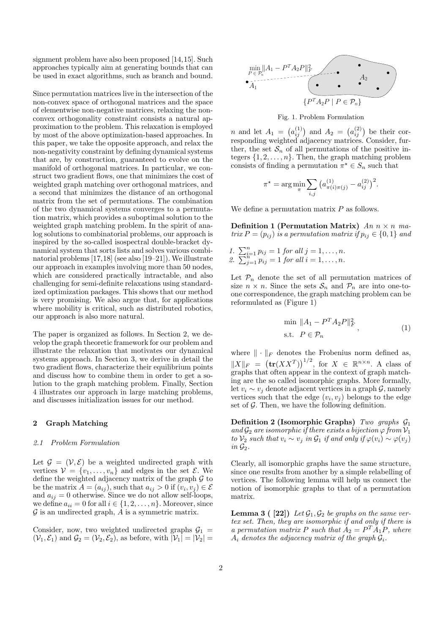signment problem have also been proposed [14,15]. Such approaches typically aim at generating bounds that can be used in exact algorithms, such as branch and bound.

Since permutation matrices live in the intersection of the non-convex space of orthogonal matrices and the space of elementwise non-negative matrices, relaxing the nonconvex orthogonality constraint consists a natural approximation to the problem. This relaxation is employed by most of the above optimization-based approaches. In this paper, we take the opposite approach, and relax the non-negativity constraint by defining dynamical systems that are, by construction, guaranteed to evolve on the manifold of orthogonal matrices. In particular, we construct two gradient flows, one that minimizes the cost of weighted graph matching over orthogonal matrices, and a second that minimizes the distance of an orthogonal matrix from the set of permutations. The combination of the two dynamical systems converges to a permutation matrix, which provides a suboptimal solution to the weighted graph matching problem. In the spirit of analog solutions to combinatorial problems, our approach is inspired by the so-called isospectral double-bracket dynamical system that sorts lists and solves various combinatorial problems [17,18] (see also [19–21]). We illustrate our approach in examples involving more than 50 nodes, which are considered practically intractable, and also challenging for semi-definite relaxations using standardized optimization packages. This shows that our method is very promising. We also argue that, for applications where mobility is critical, such as distributed robotics, our approach is also more natural.

The paper is organized as follows. In Section 2, we develop the graph theoretic framework for our problem and illustrate the relaxation that motivates our dynamical systems approach. In Section 3, we derive in detail the two gradient flows, characterize their equilibrium points and discuss how to combine them in order to get a solution to the graph matching problem. Finally, Section 4 illustrates our approach in large matching problems, and discusses initialization issues for our method.

## 2 Graph Matching

#### 2.1 Problem Formulation

Let  $\mathcal{G} = (\mathcal{V}, \mathcal{E})$  be a weighted undirected graph with vertices  $V = \{v_1, \ldots, v_n\}$  and edges in the set  $\mathcal{E}$ . We define the weighted adjacency matrix of the graph  $\mathcal G$  to be the matrix  $A = (a_{ij})$ , such that  $a_{ij} > 0$  if  $(v_i, v_j) \in \mathcal{E}$ and  $a_{ij} = 0$  otherwise. Since we do not allow self-loops, we define  $a_{ii} = 0$  for all  $i \in \{1, 2, \ldots, n\}$ . Moreover, since  $G$  is an undirected graph,  $\overline{A}$  is a symmetric matrix.

Consider, now, two weighted undirected graphs  $\mathcal{G}_1$  =  $(\mathcal{V}_1, \mathcal{E}_1)$  and  $\mathcal{G}_2 = (\mathcal{V}_2, \mathcal{E}_2)$ , as before, with  $|\mathcal{V}_1| = |\mathcal{V}_2|$ 



Fig. 1. Problem Formulation

 $n$  and let  $A_1 =$ ¡  $a_{ij}^{(1)}$  and  $A_2 =$ ¡  $a_{ij}^{(2)}$ ) be their corresponding weighted adjacency matrices. Consider, further, the set  $S_n$  of all permutations of the positive integers  $\{1, 2, \ldots, n\}$ . Then, the graph matching problem consists of finding a permutation  $\pi^* \in S_n$  such that

$$
\pi^* = \arg\min_{\pi} \sum_{i,j} (a^{(1)}_{\pi(i)\pi(j)} - a^{(2)}_{ij})^2.
$$

We define a permutation matrix  $P$  as follows.

Definition 1 (Permutation Matrix) An  $n \times n$  matrix  $P = (p_{ij})$  is a permutation matrix if  $p_{ij} \in \{0, 1\}$  and

1.  $\sum_{i=1}^{n} p_{ij} = 1$  for all  $j = 1, ..., n$ .<br>2.  $\sum_{j=1}^{n} p_{ij} = 1$  for all  $i = 1, ..., n$ .

Let  $\mathcal{P}_n$  denote the set of all permutation matrices of size  $n \times n$ . Since the sets  $S_n$  and  $\mathcal{P}_n$  are into one-toone correspondence, the graph matching problem can be reformulated as (Figure 1)

$$
\min ||A_1 - P^T A_2 P||_F^2,
$$
  
s.t.  $P \in \mathcal{P}_n$  (1)

where  $\|\cdot\|_F$  denotes the Frobenius norm defined as,  $\|X\|_F =$  $(\text{tr}(XX^T))^{1/2}$ , for  $X \in \mathbb{R}^{n \times n}$ . A class of graphs that often appear in the context of graph matching are the so called isomorphic graphs. More formally, let  $v_i \sim v_j$  denote adjacent vertices in a graph  $\mathcal{G}$ , namely vertices such that the edge  $(v_i, v_j)$  belongs to the edge set of  $\mathcal G$ . Then, we have the following definition.

**Definition 2 (Isomorphic Graphs)** Two graphs  $\mathcal{G}_1$ and  $\mathcal{G}_2$  are isomorphic if there exists a bijection  $\varphi$  from  $\mathcal{V}_1$ to  $V_2$  such that  $v_i \sim v_j$  in  $\mathcal{G}_1$  if and only if  $\varphi(v_i) \sim \varphi(v_j)$ in  $\mathcal{G}_2$ .

Clearly, all isomorphic graphs have the same structure, since one results from another by a simple relabelling of vertices. The following lemma will help us connect the notion of isomorphic graphs to that of a permutation matrix.

**Lemma 3 ( [22])** Let  $\mathcal{G}_1, \mathcal{G}_2$  be graphs on the same vertex set. Then, they are isomorphic if and only if there is a permutation matrix P such that  $A_2 = P^T A_1 P$ , where  $A_i$  denotes the adjacency matrix of the graph  $G_i$ .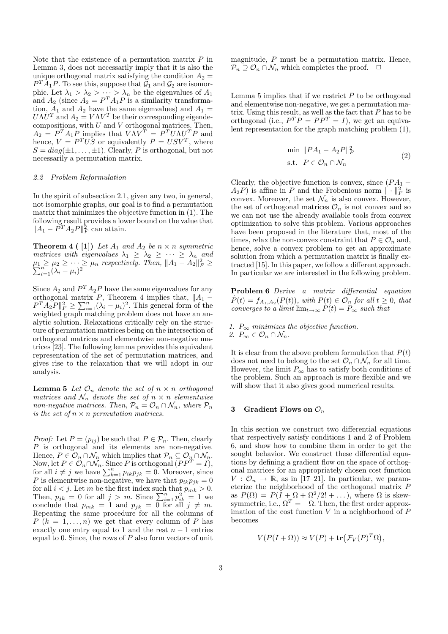Note that the existence of a permutation matrix  $P$  in Lemma 3, does not necessarily imply that it is also the unique orthogonal matrix satisfying the condition  $A_2 =$  $P^{T}\overline{A}_{1}P$ . To see this, suppose that  $\overline{\mathcal{G}}_{1}$  and  $\mathcal{G}_{2}$  are isomorphic. Let  $\lambda_1 > \lambda_2 > \cdots > \lambda_n$  be the eigenvalues of  $A_1$ and  $A_2$  (since  $A_2 = P^T A_1 P$  is a similarity transformation,  $A_1$  and  $A_2$  have the same eigenvalues) and  $A_1 =$  $U\Lambda U^T$  and  $A_2 = V\Lambda V^T$  be their corresponding eigendecompositions, with  $U$  and  $V$  orthogonal matrices. Then,  $A_2 = P^T A_1 P$  implies that  $V \Lambda V^T = P^T U \Lambda U^T P$  and hence,  $V = P<sup>T</sup>U\overline{S}$  or equivalently  $P = USV<sup>T</sup>$ , where  $S = diag(\pm 1, \ldots, \pm 1)$ . Clearly, P is orthogonal, but not necessarily a permutation matrix.

#### 2.2 Problem Reformulation

In the spirit of subsection 2.1, given any two, in general, not isomorphic graphs, our goal is to find a permutation matrix that minimizes the objective function in (1). The following result provides a lower bound on the value that  $||A_1 - P^T A_2 P||_F^2$  can attain.

**Theorem 4 (1)** Let  $A_1$  and  $A_2$  be  $n \times n$  symmetric matrices with eigenvalues  $\lambda_1 \geq \lambda_2 \geq \cdots \geq \lambda_n$  and  $\mu_1 \geq \mu_2 \geq \cdots \geq \mu_n$  respectively. Then,  $||A_1 - A_2||_F^2 \geq \sum_{i=1}^n (\lambda_i - \mu_i)^2$ 

Since  $A_2$  and  $P^T A_2 P$  have the same eigenvalues for any orthogonal matrix P, Theorem 4 implies that,  $||A_1$ orthogonal matrix P, Theorem 4 implies that,  $||A_1 - P^T A_2 P||_F^2 \ge \sum_{i=1}^n (\lambda_i - \mu_i)^2$ . This general form of the weighted graph matching problem does not have an analytic solution. Relaxations critically rely on the structure of permutation matrices being on the intersection of orthogonal matrices and elementwise non-negative matrices [23]. The following lemma provides this equivalent representation of the set of permutation matrices, and gives rise to the relaxation that we will adopt in our analysis.

**Lemma 5** Let  $\mathcal{O}_n$  denote the set of  $n \times n$  orthogonal matrices and  $\mathcal{N}_n$  denote the set of  $n \times n$  elementwise non-negative matrices. Then,  $P_n = O_n \cap \mathcal{N}_n$ , where  $P_n$ is the set of  $n \times n$  permutation matrices.

*Proof:* Let  $P = (p_{ij})$  be such that  $P \in \mathcal{P}_n$ . Then, clearly P is orthogonal and its elements are non-negative. Hence,  $P \in \mathcal{O}_n \cap \mathcal{N}_n$  which implies that  $\mathcal{P}_n \subseteq \mathcal{O}_n \cap \mathcal{N}_n$ . Now, let  $P \in \mathcal{O}_n \cap \mathcal{N}_n$ . Since P is orthogonal  $(PP^T = I)$ , for all  $i \neq j$  we have  $\sum_{k=1}^n p_{ik}p_{jk} = 0$ . Moreover, since P is elementwise non-negative, we have that  $p_{ik}p_{jk} = 0$ for all  $i < j$ . Let m be the first index such that  $p_{mk} > 0$ .<br>Then,  $p_{jk} = 0$  for all  $j > m$ . Since  $\sum_{i=1}^{n} p_{ik}^2 = 1$  we conclude that  $p_{mk} = 1$  and  $p_{jk} = 0$  for all  $j \neq m$ . Repeating the same procedure for all the columns of  $P(k = 1, \ldots, n)$  we get that every column of P has exactly one entry equal to 1 and the rest  $n-1$  entries equal to 0. Since, the rows of  $P$  also form vectors of unit

magnitude, P must be a permutation matrix. Hence,  $\mathcal{P}_n \supseteq \mathcal{O}_n \cap \mathcal{N}_n$  which completes the proof.  $\Box$ 

Lemma 5 implies that if we restrict  $P$  to be orthogonal and elementwise non-negative, we get a permutation matrix. Using this result, as well as the fact that  $P$  has to be orthogonal (i.e.,  $P^T P = P P^T = I$ ), we get an equivalent representation for the graph matching problem (1),

$$
\min \|PA_1 - A_2P\|_F^2
$$
  
s.t.  $P \in \mathcal{O}_n \cap \mathcal{N}_n$  (2)

Clearly, the objective function is convex, since  $(PA<sub>1</sub> A_2P$ ) is affine in P and the Frobenious norm  $\|\cdot\|_F^2$  is convex. Moreover, the set  $\mathcal{N}_n$  is also convex. However, the set of orthogonal matrices  $\mathcal{O}_n$  is not convex and so we can not use the already available tools from convex optimization to solve this problem. Various approaches have been proposed in the literature that, most of the times, relax the non-convex constraint that  $P \in \mathcal{O}_n$  and, hence, solve a convex problem to get an approximate solution from which a permutation matrix is finally extracted [15]. In this paper, we follow a different approach. In particular we are interested in the following problem.

Problem 6 Derive a matrix differential equation  $\dot{P}(t) = f_{A_1, A_2}(P(t)),$  with  $P(t) \in \mathcal{O}_n$  for all  $t \geq 0$ , that converges to a limit  $\lim_{t\to\infty} P(t) = P_{\infty}$  such that

1.  $P_{\infty}$  minimizes the objective function. 2.  $P_{\infty} \in \mathcal{O}_n \cap \mathcal{N}_n$ .

It is clear from the above problem formulation that  $P(t)$ does not need to belong to the set  $\mathcal{O}_n \cap \mathcal{N}_n$  for all time. However, the limit  $P_{\infty}$  has to satisfy both conditions of the problem. Such an approach is more flexible and we will show that it also gives good numerical results.

#### 3 Gradient Flows on  $\mathcal{O}_n$

In this section we construct two differential equations that respectively satisfy conditions 1 and 2 of Problem 6, and show how to combine them in order to get the sought behavior. We construct these differential equations by defining a gradient flow on the space of orthogonal matrices for an appropriately chosen cost function  $V: \mathcal{O}_n \to \mathbb{R}$ , as in [17–21]. In particular, we parameterize the neighborhood of the orthogonal matrix P as  $P(\Omega) = P(I + \Omega + \Omega^2/2! + \ldots)$ , where  $\Omega$  is skewsymmetric, i.e.,  $\Omega^T = -\Omega$ . Then, the first order approximation of the cost function  $V$  in a neighborhood of  $P$ becomes

$$
V(P(I+\Omega)) \approx V(P) + \mathbf{tr}(\mathcal{F}_V(P)^T \Omega),
$$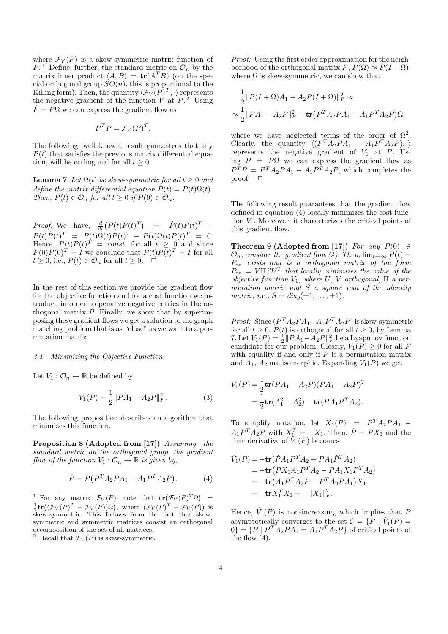where  $\mathcal{F}_V(P)$  is a skew-symmetric matrix function of  $P<sup>1</sup>$  Define, further, the standard metric on  $\mathcal{O}_n$  by the matrix inner product  $\langle A, B \rangle = \text{tr}(A^T B)$  (on the special orthogonal group  $SO(n)$ , this is proportional to the Killing form). Then, the quantity  $\langle \mathcal{F}_V(P)^T, \cdot \rangle$  represents the negative gradient of the function  $\dot{V}$  at  $\dot{P}$ .<sup>2</sup> Using  $P = P\Omega$  we can express the gradient flow as

$$
P^T \dot{P} = \mathcal{F}_V (P)^T.
$$

The following, well known, result guarantees that any  $P(t)$  that satisfies the previous matrix differential equation, will be orthogonal for all  $t \geq 0$ .

**Lemma 7** Let  $\Omega(t)$  be skew-symmetric for all  $t \geq 0$  and define the matrix differential equation  $\dot{P}(t) = P(t)\Omega(t)$ . Then,  $P(t) \in \mathcal{O}_n$  for all  $t \geq 0$  if  $P(0) \in \mathcal{O}_n$ .

*Proof:* We have,  $\frac{d}{dt}(P(t)P(t)^T) = \dot{P}(t)P(t)^T +$  $P(t)\dot{P}(t)^T = P(t)\Omega(t)P(t)^T - P(t)\Omega(t)P(t)^T = 0.$ Hence,  $P(t)P(t)^T = const.$  for all  $t \geq 0$  and since  $P(0)P(0)^{T} = I$  we conclude that  $P(t)P(t)^{T} = I$  for all  $t \geq 0$ , i.e.,  $P(t) \in \mathcal{O}_n$  for all  $t \geq 0$ .  $\Box$ 

In the rest of this section we provide the gradient flow for the objective function and for a cost function we introduce in order to penalize negative entries in the orthogonal matrix  $P$ . Finally, we show that by superimposing these gradient flows we get a solution to the graph matching problem that is as "close" as we want to a permutation matrix.

#### 3.1 Minimizing the Objective Function

Let  $V_1: \mathcal{O}_n \to \mathbb{R}$  be defined by

$$
V_1(P) = \frac{1}{2} ||PA_1 - A_2P||_F^2.
$$
 (3)

The following proposition describes an algorithm that minimizes this function.

Proposition 8 (Adopted from [17]) Assuming the standard metric on the orthogonal group, the gradient flow of the function  $V_1: \mathcal{O}_n \to \mathbb{R}$  is given by,

$$
\dot{P} = P(P^T A_2 P A_1 - A_1 P^T A_2 P). \tag{4}
$$

Proof: Using the first order approximation for the neighborhood of the orthogonal matrix  $P, P(\Omega) \approx P(I + \Omega)$ , where  $\Omega$  is skew-symmetric, we can show that

$$
\frac{1}{2}||P(I + \Omega)A_1 - A_2P(I + \Omega)||_F^2 \approx
$$
  

$$
\approx \frac{1}{2}||PA_1 - A_2P||_F^2 + \text{tr}(P^T A_2PA_1 - A_1P^T A_2P)\Omega,
$$

where we have neglected terms of the order of  $\Omega^2$ . Clearly, the quantity  $\langle (P^T A_2 P A_1 - A_1 P^T A_2 P), \cdot \rangle$ represents the negative gradient of  $V_1$  at  $P$ . Using  $\dot{P} = P\Omega$  we can express the gradient flow as  $P^{\tilde{T}}\dot{P} = P^T A_2 P A_1 - A_1 P^{\tilde{T}} A_2 P$ , which completes the proof.  $\Box$ 

The following result guarantees that the gradient flow defined in equation (4) locally minimizes the cost function  $V_1$ . Moreover, it characterizes the critical points of this gradient flow.

Theorem 9 (Adopted from [17]) For any  $P(0) \in$  $\mathcal{O}_n$ , consider the gradient flow (4). Then,  $\lim_{t\to\infty} P(t) =$  $P_{\infty}$  exists and is a orthogonal matrix of the form  $P_{\infty} = V \Pi S U^T$  that locally minimizes the value of the objective function  $V_1$ , where U, V orthogonal,  $\Pi$  a permutation matrix and S a square root of the identity matrix, i.e.,  $S = diag(\pm 1, \ldots, \pm 1)$ .

*Proof:* Since  $(P^T A_2 P A_1 - A_1 P^T A_2 P)$  is skew-symmetric for all  $t \geq 0$ ,  $P(t)$  is orthogonal for all  $t \geq 0$ , by Lemma 7. Let  $V_1(P) = \frac{1}{2} ||PA_1 - A_2P||_F^2$  be a Lyapunov function candidate for our problem. Clearly,  $V_1(P) \geq 0$  for all P with equality if and only if  $P$  is a permutation matrix and  $A_1$ ,  $A_2$  are isomorphic. Expanding  $V_1(P)$  we get

$$
V_1(P) = \frac{1}{2} \mathbf{tr}(PA_1 - A_2P)(PA_1 - A_2P)^T
$$
  
=  $\frac{1}{2} \mathbf{tr}(A_1^2 + A_2^2) - \mathbf{tr}(PA_1P^TA_2).$ 

To simplify notation, let  $X_1(P) = P^T A_2 P A_1 A_1 P^T A_2 P$  with  $X_1^T = -X_1$ . Then,  $\dot{P} = PX_1$  and the time derivative of  $V_1(P)$  becomes

$$
\dot{V}_1(P) = -\mathbf{tr}(\dot{P}A_1P^TA_2 + PA_1\dot{P}^TA_2) \n= -\mathbf{tr}(PX_1A_1P^TA_2 - PA_1X_1P^TA_2) \n= -\mathbf{tr}(A_1P^TA_2P - P^TA_2PA_1)X_1 \n= -\mathbf{tr}X_1^TX_1 = -\|X_1\|_F^2.
$$

Hence,  $\dot{V}_1(P)$  is non-increasing, which implies that P asymptotically converges to the set  $\mathcal{C} = \{P \mid \dot{V}_1(P) =$  $0$ } = {P |  $P^{T}A_2PA_1 = A_1P^{T}A_2P$ } of critical points of the flow  $(4)$ .

The Form any matrix  $\mathcal{F}_V(P)$ , note that  $\mathbf{tr}(\mathcal{F}_V(P)^T \Omega) =$ For any matrix  $f'(T)$ , note that  $\mathbf{t}(\mathcal{F}_V(P)^T) = \frac{1}{2}\mathbf{tr}((\mathcal{F}_V(P))^T - \mathcal{F}_V(P))$  is  $\frac{1}{2}$ **c** ((*x*  $V(T) = 3V(T)/32$ ), where  $(V(T) = 3V(T)/38$ <br>skew-symmetric. This follows from the fact that skewsymmetric and symmetric matrices consist an orthogonal decomposition of the set of all matrices.

<sup>&</sup>lt;sup>2</sup> Recall that  $\mathcal{F}_V(P)$  is skew-symmetric.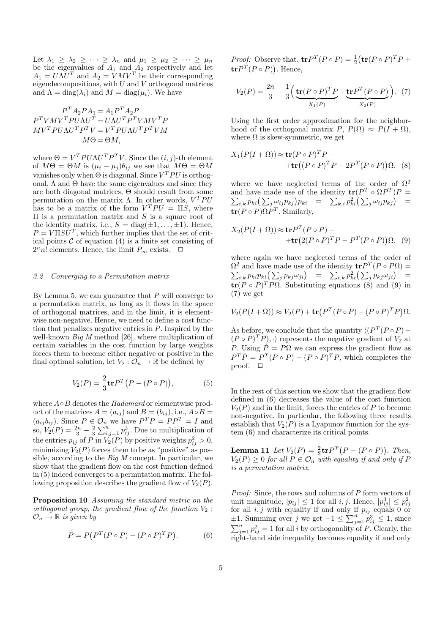Let  $\lambda_1 \geq \lambda_2 \geq \cdots \geq \lambda_n$  and  $\mu_1 \geq \mu_2 \geq \cdots \geq \mu_n$ be the eigenvalues of  $A_1$  and  $A_2$  respectively and let  $A_1 = U\Lambda U^T$  and  $A_2 = VMV^T$  be their corresponding eigendecompositions, with  $U$  and  $V$  orthogonal matrices and  $\Lambda = \text{diag}(\lambda_i)$  and  $M = \text{diag}(\mu_i)$ . We have

$$
\begin{aligned} P^T A_2 P A_1 &= A_1 P^T A_2 P \\ P^T V M V^T P U \Lambda U^T &= U \Lambda U^T P^T V M V^T P \\ M V^T P U \Lambda U^T P^T V &= V^T P U \Lambda U^T P^T V M \\ M \Theta &= \Theta M, \end{aligned}
$$

where  $\Theta = V^T P U \Lambda U^T P^T V$ . Since the  $(i, j)$ -th element of  $M\Theta = \Theta M$  is  $(\mu_i - \mu_j)\theta_{ij}$  we see that  $M\Theta = \Theta M$ vanishes only when  $\Theta$  is diagonal. Since  $V^T P U$  is orthogonal,  $\Lambda$  and  $\Theta$  have the same eigenvalues and since they are both diagonal matrices, Θ should result from some permutation on the matrix  $\Lambda$ . In other words,  $V^T P U$ has to be a matrix of the form  $V^T P U = \Pi S$ , where  $\Pi$  is a permutation matrix and S is a square root of the identity matrix, i.e.,  $S = diag(\pm 1, ..., \pm 1)$ . Hence,  $P = V \Pi S \dot{U}^T$ , which further implies that the set of critical points  $C$  of equation  $(4)$  is a finite set consisting of  $2^n n!$  elements. Hence, the limit  $P_{\infty}$  exists.  $\Box$ 

#### 3.2 Converging to a Permutation matrix

By Lemma 5, we can guarantee that  $P$  will converge to a permutation matrix, as long as it flows in the space of orthogonal matrices, and in the limit, it is elementwise non-negative. Hence, we need to define a cost function that penalizes negative entries in P. Inspired by the well-known  $Big M$  method [26], where multiplication of certain variables in the cost function by large weights forces them to become either negative or positive in the final optimal solution, let  $V_2 : \tilde{\mathcal{O}_n} \to \mathbb{R}$  be defined by

$$
V_2(P) = \frac{2}{3} \text{tr} P^T (P - (P \circ P)), \tag{5}
$$

where  $A \circ B$  denotes the Hadamard or elementwise product of the matrices  $A = (a_{ij})$  and  $B = (b_{ij})$ , i.e.,  $A \circ B =$  $(a_{ij}b_{ij})$ . Since  $P \in \mathcal{O}_n$  we have  $P^T P = P P^T = I$  and so,  $V_2(P) = \frac{2n}{3} - \frac{2}{3}$  $\sum_{i,j=1}^{n} p_{ij}^{3}$ . Due to multiplication of the entries  $p_{ij}$  of P in  $V_2(P)$  by positive weights  $p_{ij}^2 > 0$ , minimizing  $V_2(P)$  forces them to be as "positive" as possible, according to the  $Big M$  concept. In particular, we show that the gradient flow on the cost function defined in (5) indeed converges to a permutation matrix. The following proposition describes the gradient flow of  $V_2(P)$ .

Proposition 10 Assuming the standard metric on the orthogonal group, the gradient flow of the function  $V_2$ :  $\mathcal{O}_n \to \mathbb{R}$  is given by

$$
\dot{P} = P(P^T(P \circ P) - (P \circ P)^T P). \tag{6}
$$

*Proof:* Observe that,  $\mathbf{tr} P^T (P \circ P) = \frac{1}{2}$ ¡ ve that,  $\mathbf{tr} P^T (P \circ P) = \frac{1}{2} (\mathbf{tr} (P \circ P)^T P +$  $tr P^{T}(P \circ P)$ . Hence,

$$
V_2(P) = \frac{2n}{3} - \frac{1}{3} \left( \underbrace{\mathbf{tr}(P \circ P)^T P}_{X_1(P)} + \underbrace{\mathbf{tr} P^T (P \circ P)}_{X_2(P)} \right). \tag{7}
$$

Using the first order approximation for the neighborhood of the orthogonal matrix  $P, P(\Omega) \approx P(I + \Omega)$ , where  $\Omega$  is skew-symmetric, we get

$$
X_1(P(I+\Omega)) \approx \mathbf{tr}(P \circ P)^T P + \mathbf{tr}((P \circ P)^T P - 2P^T (P \circ P)) \Omega, \quad (8)
$$

where we have neglected terms of the order of  $\Omega^2$ and have made use of the identity  $tr(P^T \circ \Omega P^T)P =$  $i_k p_{ki}(\sum_j \omega_{ij} p_{kj}) p_{ki} = \sum_{k,i} p_{ki}^2(\sum_j \omega_{ij} p_{kj}) =$  $tr(P \circ P) \Omega P^{T}$ . Similarly,

$$
X_2(P(I+\Omega)) \approx \mathbf{tr} P^T (P \circ P) + \mathbf{tr} (2(P \circ P)^T P - P^T (P \circ P)) \Omega, \quad (9)
$$

where again we have neglected terms of the order of  $Ω<sup>2</sup>$  and have made use of the identity  $\mathbf{tr}P<sup>T</sup>(P \circ PΩ)$  = and have made use of the identity  $\mathbf{tr} P^T (P \circ P \mathbf{Y}) =$ <br>  $i,k p_{ki} p_{ki} (\sum_j p_{kj} \omega_{ji}) = \sum_{i,k} p_{ki}^2 (\sum_j p_{kj} \omega_{ji}) =$  $tr(P \circ P)^T P \Omega$ . Substituting equations (8) and (9) in  $(7)$  we get

$$
V_2(P(I+\Omega)) \approx V_2(P) + \mathbf{tr}(P^T(P \circ P) - (P \circ P)^T P)\Omega.
$$

As before, we conclude that the quantity  $\langle (P^T (P \circ P) (P \circ P)^T P$ ,  $\cdot$  represents the negative gradient of  $V_2$  at P. Using  $\dot{P} = P\Omega$  we can express the gradient flow as  $P^T \dot{P} = P^T (P \circ P) - (P \circ P)^T P$ , which completes the proof.  $\Box$ 

In the rest of this section we show that the gradient flow defined in (6) decreases the value of the cost function  $V_2(P)$  and in the limit, forces the entries of P to become non-negative. In particular, the following three results establish that  $V_2(P)$  is a Lyapunov function for the system (6) and characterize its critical points.

**Lemma 11** Let  $V_2(P) = \frac{2}{3} \mathbf{tr} P^T$  $P - (P \circ P)$ ¢ . Then,  $V_2(P) \geq 0$  for all  $P \in \mathcal{O}_n$  with equality if and only if P is a permutation matrix.

Proof: Since, the rows and columns of P form vectors of unit magnitude,  $|p_{ij}| \leq 1$  for all  $i, j$ . Hence,  $|p_{ij}^3| \leq p_{ij}^2$ for all  $i, j$  with equality if and only if  $p_{ij}$  equals 0 or for an *i*, *j* with equality if and only if  $p_{ij}$  equals 0 or<br>  $\pm 1$ . Summing over *j* we get  $-1 \le \sum_{j=1}^{n} p_{ij}^3 \le 1$ , since  $j=1 \choose j=1$  for all i by orthogonality of P. Clearly, the right-hand side inequality becomes equality if and only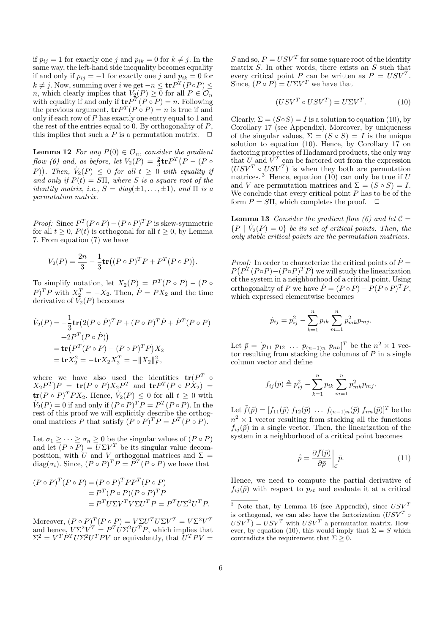if  $p_{ij} = 1$  for exactly one j and  $p_{ik} = 0$  for  $k \neq j$ . In the same way, the left-hand side inequality becomes equality if and only if  $p_{ij} = -1$  for exactly one j and  $p_{ik} = 0$  for  $k \neq j$ . Now, summing over i we get  $-n \leq \mathbf{tr} P^T (P \circ P) \leq$ n, which clearly implies that  $V_2(P) \geq 0$  for all  $P \in \mathcal{O}_n$ with equality if and only if  $\mathbf{tr} P^T(P \circ P) = n$ . Following the previous argument,  $tr P^{T}(P \circ P) = n$  is true if and only if each row of P has exactly one entry equal to 1 and the rest of the entries equal to 0. By orthogonality of  $P$ , this implies that such a P is a permutation matrix.  $\Box$ 

**Lemma 12** For any  $P(0) \in \mathcal{O}_n$ , consider the gradient flow (6) and, as before, let  $V_2(P) = \frac{2}{3} \text{tr} P^T (P - (P \circ$  $(P)$ ). Then,  $\dot{V}_2(P) \leq 0$  for all  $t \geq 0$  with equality if and only if  $P(t) = S\Pi$ , where S is a square root of the identity matrix, i.e.,  $S = diag(\pm 1, ..., \pm 1)$ , and  $\Pi$  is a permutation matrix.

*Proof:* Since  $P^T (P \circ P) - (P \circ P)^T P$  is skew-symmetric for all  $t \geq 0$ ,  $P(t)$  is orthogonal for all  $t \geq 0$ , by Lemma 7. From equation (7) we have

$$
V_2(P) = \frac{2n}{3} - \frac{1}{3} \text{tr}((P \circ P)^T P + P^T (P \circ P)).
$$

To simplify notation, let  $X_2(P) = P^T(P \circ P) - (P \circ P)$  $P)^{T}P$  with  $X_{2}^{T} = -X_{2}$ . Then,  $P = PX_{2}$  and the time derivative of  $V_2(P)$  becomes

$$
\dot{V}_2(P) = -\frac{1}{3}\mathbf{tr}\left(2(P \circ \dot{P})^T P + (P \circ P)^T \dot{P} + \dot{P}^T (P \circ P)\right) \n+2P^T (P \circ \dot{P})\n= \mathbf{tr}\left(P^T (P \circ P) - (P \circ P)^T P\right) X_2 \n= \mathbf{tr} X_2^2 = -\mathbf{tr} X_2 X_2^T = -\|X_2\|_F^2,
$$

where we have also used the identities  $tr(P^T \circ$  $(X_2P^T)P = \text{tr}(P \circ P)X_2P^T$  and  $\text{tr}P^T(P \circ PX_2) =$  $\mathbf{tr}(P \circ P)^T P X_2$ . Hence,  $\dot{V}_2(P) \leq 0$  for all  $t \geq 0$  with  $\dot{V}_2(P) = 0$  if and only if  $(P \circ P)^T P = P^T (P \circ P)$ . In the rest of this proof we will explicitly describe the orthogonal matrices P that satisfy  $(P \circ P)^T P = P^T (P \circ P)$ .

Let  $\sigma_1 \geq \cdots \geq \sigma_n \geq 0$  be the singular values of  $(P \circ P)$ and let  $(P \circ P) = U \Sigma V^T$  be its singular value decomposition, with U and V orthogonal matrices and  $\Sigma =$ diag( $\sigma_i$ ). Since,  $(P \circ P)^T P = P^T (P \circ P)$  we have that

$$
(P \circ P)^{T} (P \circ P) = (P \circ P)^{T} P P^{T} (P \circ P)
$$
  
=  $P^{T} (P \circ P) (P \circ P)^{T} P$   
=  $P^{T} U \Sigma V^{T} V \Sigma U^{T} P = P^{T} U \Sigma^{2} U^{T} P.$ 

Moreover,  $(P \circ P)^T (P \circ P) = V \Sigma U^T U \Sigma V^T = V \Sigma^2 V^T$ and hence,  $V\Sigma^2 V^T = P^T U \Sigma^2 U^T P$ , which implies that  $\Sigma^2 = V^T P^T U \Sigma^2 U^T P V$  or equivalently, that  $U^T P V =$ 

S and so,  $P = USV<sup>T</sup>$  for some square root of the identity matrix  $S$ . In other words, there exists an  $S$  such that every critical point P can be written as  $P = USV<sup>T</sup>$ . Since,  $(P \circ P) = U \Sigma V^T$  we have that

$$
(USV^T \circ USV^T) = U\Sigma V^T.
$$
 (10)

Clearly,  $\Sigma = (S \circ S) = I$  is a solution to equation (10), by Corollary 17 (see Appendix). Moreover, by uniqueness of the singular values,  $\Sigma = (S \circ S) = I$  is the unique solution to equation (10). Hence, by Corollary 17 on factoring properties of Hadamard products, the only way that U and  $\overline{V}^T$  can be factored out from the expression  $(USV^T \circ USV^T)$  is when they both are permutation matrices.<sup>3</sup> Hence, equation (10) can only be true if  $U$ and V are permutation matrices and  $\Sigma = (S \circ S) = I$ . We conclude that every critical point  $P$  has to be of the form  $P = S\Pi$ , which completes the proof.  $\Box$ 

**Lemma 13** Consider the gradient flow (6) and let  $C =$  ${P \mid \dot{V}_2(P) = 0}$  be its set of critical points. Then, the only stable critical points are the permutation matrices.

*Proof:* In order to characterize the critical points of  $\dot{P} =$  $P(P^T(P \circ P) - (P \circ P)^T P)$  we will study the linearization of the system in a neighborhood of a critical point. Using orthogonality of P we have  $\dot{P} = (P \circ P) - P(P \circ P)^T P$ , which expressed elementwise becomes

$$
\dot{p}_{ij} = p_{ij}^2 - \sum_{k=1}^n p_{ik} \sum_{m=1}^n p_{mk}^2 p_{mj}.
$$

Let  $\bar{p} = [p_{11} \ p_{12} \ \dots \ p_{(n-1)n} \ p_{nn}]^T$  be the  $n^2 \times 1$  vector resulting from stacking the columns of  $P$  in a single column vector and define

$$
f_{ij}(\bar{p}) \triangleq p_{ij}^2 - \sum_{k=1}^n p_{ik} \sum_{m=1}^n p_{mk}^2 p_{mj}.
$$

Let  $\bar{f}(\bar{p}) = [f_{11}(\bar{p}) f_{12}(\bar{p}) \dots f_{(n-1)n}(\bar{p}) f_{nn}(\bar{p})]^T$  be the  $n^2 \times 1$  vector resulting from stacking all the functions  $f_{ij}(\bar{p})$  in a single vector. Then, the linearization of the system in a neighborhood of a critical point becomes

$$
\dot{\bar{p}} = \frac{\partial \bar{f}(\bar{p})}{\partial \bar{p}} \bigg|_{\mathcal{C}} \bar{p}.
$$
\n(11)

Hence, we need to compute the partial derivative of  $f_{ij}(\bar{p})$  with respect to  $p_{st}$  and evaluate it at a critical

<sup>&</sup>lt;sup>3</sup> Note that, by Lemma 16 (see Appendix), since  $USV<sup>T</sup>$ is orthogonal, we can also have the factorization  $(USV^T \circ$  $USV<sup>T</sup>$  =  $USV<sup>T</sup>$  with  $USV<sup>T</sup>$  a permutation matrix. However, by equation (10), this would imply that  $\Sigma = S$  which contradicts the requirement that  $\Sigma \geq 0$ .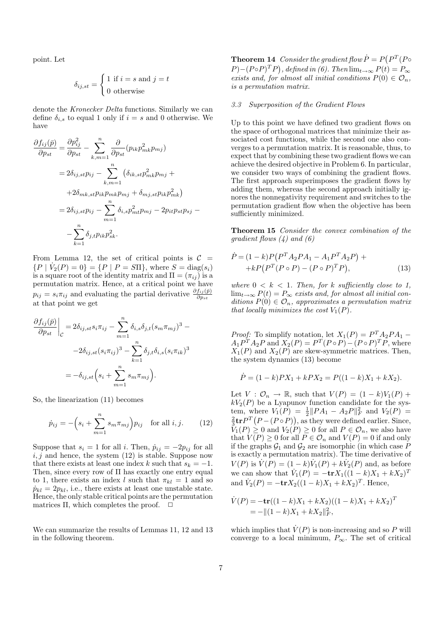point. Let

$$
\delta_{ij,st} = \begin{cases} 1 \text{ if } i=s \text{ and } j=t \\ 0 \text{ otherwise} \end{cases}
$$

denote the Kronecker Delta functions. Similarly we can define  $\delta_{i,s}$  to equal 1 only if  $i = s$  and 0 otherwise. We have

$$
\frac{\partial f_{ij}(\bar{p})}{\partial p_{st}} = \frac{\partial p_{ij}^2}{\partial p_{st}} - \sum_{k,m=1}^n \frac{\partial}{\partial p_{st}} (p_{ik} p_{mk}^2 p_{mj})
$$
  
\n
$$
= 2\delta_{ij,st} p_{ij} - \sum_{k,m=1}^n (\delta_{ik,st} p_{mk}^2 p_{mj} +
$$
  
\n
$$
+ 2\delta_{mk,st} p_{ik} p_{mk} p_{mj} + \delta_{mj,st} p_{ik} p_{mk}^2)
$$
  
\n
$$
= 2\delta_{ij,st} p_{ij} - \sum_{m=1}^n \delta_{i,s} p_{mt}^2 p_{mj} - 2p_{it} p_{st} p_{sj} -
$$
  
\n
$$
- \sum_{k=1}^n \delta_{j,t} p_{ik} p_{sk}^2.
$$

From Lemma 12, the set of critical points is  $C =$  ${P | \dot{V}_2(P) = 0} = {P | P = S\Pi},$  where  $S = diag(s_i)$ is a square root of the identity matrix and  $\Pi = (\pi_{ij})$  is a permutation matrix. Hence, at a critical point we have  $p_{ij} = s_i \pi_{ij}$  and evaluating the partial derivative  $\frac{\partial f_{ij}(\bar{p})}{\partial p_{st}}$ at that point we get

$$
\frac{\partial f_{ij}(\bar{p})}{\partial p_{st}}\Big|_{\mathcal{C}} = 2\delta_{ij,st} s_i \pi_{ij} - \sum_{m=1}^n \delta_{i,s} \delta_{j,t} (s_m \pi_{mj})^3 -
$$

$$
-2\delta_{ij,st} (s_i \pi_{ij})^3 - \sum_{k=1}^n \delta_{j,t} \delta_{i,s} (s_i \pi_{ik})^3
$$

$$
= -\delta_{ij,st} \left(s_i + \sum_{m=1}^n s_m \pi_{mj}\right).
$$

So, the linearization (11) becomes

$$
\dot{p}_{ij} = -\left(s_i + \sum_{m=1}^{n} s_m \pi_{mj}\right) p_{ij} \text{ for all } i, j. \qquad (12)
$$

Suppose that  $s_i = 1$  for all i. Then,  $\dot{p}_{ij} = -2p_{ij}$  for all  $i, j$  and hence, the system  $(12)$  is stable. Suppose now that there exists at least one index k such that  $s_k = -1$ . Then, since every row of  $\Pi$  has exactly one entry equal to 1, there exists an index l such that  $\pi_{kl} = 1$  and so  $\dot{p}_{kl} = 2p_{kl}$ , i.e., there exists at least one unstable state. Hence, the only stable critical points are the permutation matrices  $\Pi$ , which completes the proof.  $\Box$ 

We can summarize the results of Lemmas 11, 12 and 13 in the following theorem.

**Theorem 14** Consider the gradient flow  $\dot{P} = P$ Consider the gradient flow  $\dot{P} = P(P^T(P \circ$  $(P) - (P \circ P)^T P$ , defined in (6). Then  $\lim_{t \to \infty} P(t) = P_{\infty}$ exists and, for almost all initial conditions  $P(0) \in \mathcal{O}_n$ , is a permutation matrix.

#### 3.3 Superposition of the Gradient Flows

Up to this point we have defined two gradient flows on the space of orthogonal matrices that minimize their associated cost functions, while the second one also converges to a permutation matrix. It is reasonable, thus, to expect that by combining these two gradient flows we can achieve the desired objective in Problem 6. In particular, we consider two ways of combining the gradient flows. The first approach superimposes the gradient flows by adding them, whereas the second approach initially ignores the nonnegativity requirement and switches to the permutation gradient flow when the objective has been sufficiently minimized.

Theorem 15 Consider the convex combination of the qradient flows  $(4)$  and  $(6)$ 

$$
\dot{P} = (1 - k)P(P^T A_2 P A_1 - A_1 P^T A_2 P) ++ kP(P^T (P \circ P) - (P \circ P)^T P),
$$
\n(13)

where  $0 < k < 1$ . Then, for k sufficiently close to 1,  $\lim_{t\to\infty} P(t) = P_{\infty}$  exists and, for almost all initial conditions  $P(0) \in \mathcal{O}_n$ , approximates a permutation matrix that locally minimizes the cost  $V_1(P)$ .

*Proof:* To simplify notation, let  $X_1(P) = P^T A_2 P A_1$  –  $A_1 P^T A_2 P$  and  $X_2(P) = P^T (P \circ P) - (P \circ P)^T P$ , where  $X_1(P)$  and  $X_2(P)$  are skew-symmetric matrices. Then, the system dynamics (13) become

$$
\dot{P} = (1 - k)PX_1 + kPX_2 = P((1 - k)X_1 + kX_2).
$$

Let  $V: \mathcal{O}_n \to \mathbb{R}$ , such that  $V(P) = (1 - k)V_1(P) +$  $kV_2(P)$  be a Lyapunov function candidate for the system, where  $V_1(P) = \frac{1}{2} ||PA_1 - A_2P||_F^2$  and  $V_2(P) =$  $\frac{2}{3}\mathbf{tr}P^{T}(P-(P\circ P)),$  as they were defined earlier. Since,  $V_1(P) \geq 0$  and  $V_2(P) \geq 0$  for all  $P \in \mathcal{O}_n$ , we also have that  $V(P) \geq 0$  for all  $P \in \mathcal{O}_n$  and  $V(P) = 0$  if and only if the graphs  $\mathcal{G}_1$  and  $\mathcal{G}_2$  are isomorphic (in which case P is exactly a permutation matrix). The time derivative of  $V(P)$  is  $\dot{V}(P) = (1 - k)\dot{V}_1(P) + k\dot{V}_2(P)$  and, as before we can show that  $V_1(P) = -\mathbf{tr} X_1((1-k)X_1 + kX_2)^T$ and  $\dot{V}_2(P) = -\mathbf{tr}X_2((1-k)X_1 + kX_2)^T$ . Hence,

$$
\dot{V}(P) = -\mathbf{tr}((1-k)X_1 + kX_2)((1-k)X_1 + kX_2)^T
$$
  
= -||(1-k)X\_1 + kX\_2||\_F^2,

which implies that  $\dot{V}(P)$  is non-increasing and so P will converge to a local minimum,  $P_{\infty}$ . The set of critical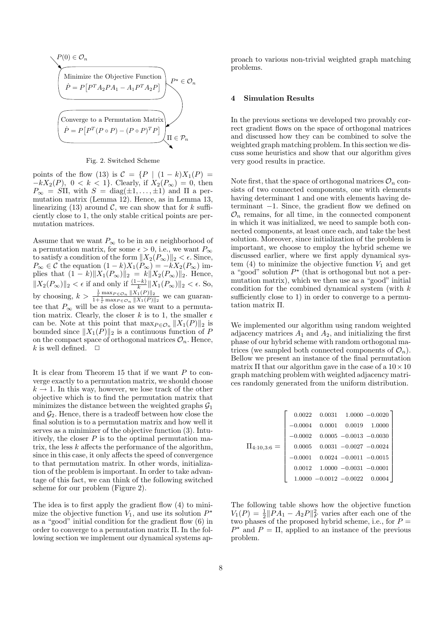

Fig. 2. Switched Scheme

points of the flow (13) is  $C = \{P \mid (1 - k)X_1(P) =$  $-kX_2(P)$ ,  $0 < k < 1$ . Clearly, if  $X_2(P_\infty) = 0$ , then  $P_{\infty} = \overline{S}\Pi$ , with  $S = \text{diag}(\pm 1, \ldots, \pm 1)$  and  $\Pi$  a permutation matrix (Lemma 12). Hence, as in Lemma 13, linearizing (13) around  $\mathcal{C}$ , we can show that for k sufficiently close to 1, the only stable critical points are permutation matrices.

Assume that we want  $P_{\infty}$  to be in an  $\epsilon$  neighborhood of a permutation matrix, for some  $\epsilon > 0$ , i.e., we want  $P_{\infty}$ to satisfy a condition of the form  $||X_2(P_\infty)||_2 < \epsilon$ . Since,  $P_{\infty} \in \mathcal{C}$  the equation  $(1 - k)X_1(P_{\infty}) = -kX_2(P_{\infty})$  implies that  $(1 - k) \|X_1(P_\infty)\|_2 = k \|X_2(P_\infty)\|_2$ . Hence,  $||X_2(P_\infty)||_2 < \epsilon$  if and only if  $\frac{(1-k)}{k} ||X_1(P_\infty)||_2 < \epsilon$ . So, by choosing,  $k > \frac{\frac{1}{\epsilon} \max_{P \in \mathcal{O}_n} ||X_1(P)||_2}{1 + \frac{1}{\epsilon} \max_{P \in \mathcal{O}_n} ||X_1(P)||_2}$  we can guarantee that  $P_{\infty}$  will be as close as we want to a permutation matrix. Clearly, the closer k is to 1, the smaller  $\epsilon$ can be. Note at this point that  $\max_{P \in \mathcal{O}_n} ||X_1(P)||_2$  is bounded since  $||X_1(P)||_2$  is a continuous function of P on the compact space of orthogonal matrices  $\mathcal{O}_n$ . Hence, k is well defined.  $\Box$ 

It is clear from Theorem 15 that if we want  $P$  to converge exactly to a permutation matrix, we should choose  $k \to 1$ . In this way, however, we lose track of the other objective which is to find the permutation matrix that minimizes the distance between the weighted graphs  $\mathcal{G}_1$ and  $\mathcal{G}_2$ . Hence, there is a tradeoff between how close the final solution is to a permutation matrix and how well it serves as a minimizer of the objective function (3). Intuitively, the closer  $P$  is to the optimal permutation matrix, the less  $k$  affects the performance of the algorithm, since in this case, it only affects the speed of convergence to that permutation matrix. In other words, initialization of the problem is important. In order to take advantage of this fact, we can think of the following switched scheme for our problem (Figure 2).

The idea is to first apply the gradient flow (4) to minimize the objective function  $V_1$ , and use its solution  $P^*$ as a "good" initial condition for the gradient flow (6) in order to converge to a permutation matrix Π. In the following section we implement our dynamical systems approach to various non-trivial weighted graph matching problems.

## 4 Simulation Results

In the previous sections we developed two provably correct gradient flows on the space of orthogonal matrices and discussed how they can be combined to solve the weighted graph matching problem. In this section we discuss some heuristics and show that our algorithm gives very good results in practice.

Note first, that the space of orthogonal matrices  $\mathcal{O}_n$  consists of two connected components, one with elements having determinant 1 and one with elements having determinant −1. Since, the gradient flow we defined on  $\mathcal{O}_n$  remains, for all time, in the connected component in which it was initialized, we need to sample both connected components, at least once each, and take the best solution. Moreover, since initialization of the problem is important, we choose to employ the hybrid scheme we discussed earlier, where we first apply dynamical system (4) to minimize the objective function  $V_1$  and get a "good" solution  $P^*$  (that is orthogonal but not a permutation matrix), which we then use as a "good" initial condition for the combined dynamical system (with k sufficiently close to 1) in order to converge to a permutation matrix Π.

We implemented our algorithm using random weighted adjacency matrices  $A_1$  and  $A_2$ , and initializing the first phase of our hybrid scheme with random orthogonal matrices (we sampled both connected components of  $\mathcal{O}_n$ ). Bellow we present an instance of the final permutation matrix  $\Pi$  that our algorithm gave in the case of a  $10 \times 10$ graph matching problem with weighted adjacency matrices randomly generated from the uniform distribution.

| $\Pi_{4:10,3:6} =$ |                                      |                            | $0.0022$ $0.0031$ $1.0000$ $-0.0020$ |
|--------------------|--------------------------------------|----------------------------|--------------------------------------|
|                    | $-0.0004$                            | $0.0001$ $0.0019$ $1.0000$ |                                      |
|                    | $-0.0002$ 0.0005 $-0.0013$ $-0.0030$ |                            |                                      |
|                    | 0.0005                               | $0.0031 - 0.0027 - 0.0024$ |                                      |
|                    | $-0.0001$                            | $0.0024 - 0.0011 - 0.0015$ |                                      |
|                    | 0.0012                               | $1.0000 - 0.0031 - 0.0001$ |                                      |
|                    |                                      | $1.0000 - 0.0012 - 0.0022$ | 0.0004                               |

The following table shows how the objective function  $V_1(P) = \frac{1}{2} \|\tilde{P}A_1 - A_2P\|_F^2$  varies after each one of the two phases of the proposed hybrid scheme, i.e., for  $P =$  $P^*$  and  $P = \Pi$ , applied to an instance of the previous problem.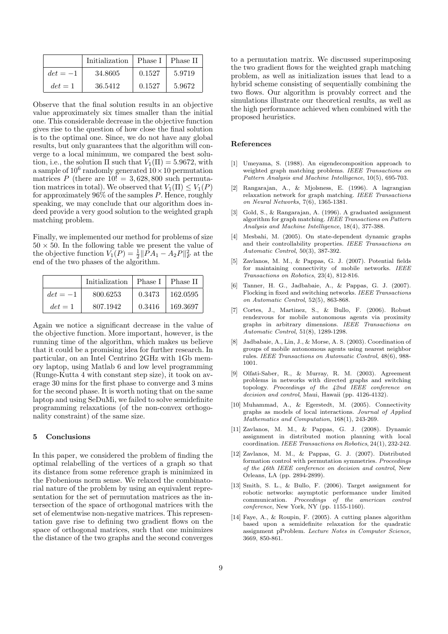|            | Initialization | Phase I   Phase II |        |
|------------|----------------|--------------------|--------|
| $det = -1$ | 34.8605        | 0.1527             | 5.9719 |
| $det = 1$  | 36.5412        | 0.1527             | 5.9672 |

Observe that the final solution results in an objective value approximately six times smaller than the initial one. This considerable decrease in the objective function gives rise to the question of how close the final solution is to the optimal one. Since, we do not have any global results, but only guarantees that the algorithm will converge to a local minimum, we compared the best solution, i.e., the solution  $\Pi$  such that  $V_1(\Pi) = 5.9672$ , with a sample of  $10^6$  randomly generated  $10 \times 10$  permutation matrices P (there are  $10! = 3,628,800$  such permutation matrices in total). We observed that  $V_1(\Pi) \leq V_1(P)$ for approximately  $96\%$  of the samples P. Hence, roughly speaking, we may conclude that our algorithm does indeed provide a very good solution to the weighted graph matching problem.

Finally, we implemented our method for problems of size  $50 \times 50$ . In the following table we present the value of the objective function  $V_1(P) = \frac{1}{2} ||\overline{P}A_1 - A_2 P||_F^2$  at the end of the two phases of the algorithm.

|            | Initialization | $\perp$ Phase I | Phase II |
|------------|----------------|-----------------|----------|
| $det = -1$ | 800.6253       | 0.3473          | 162.0595 |
| $det = 1$  | 807.1942       | 0.3416          | 169.3697 |

Again we notice a significant decrease in the value of the objective function. More important, however, is the running time of the algorithm, which makes us believe that it could be a promising idea for further research. In particular, on an Intel Centrino 2GHz with 1Gb memory laptop, using Matlab 6 and low level programming (Runge-Kutta 4 with constant step size), it took on average 30 mins for the first phase to converge and 3 mins for the second phase. It is worth noting that on the same laptop and using SeDuMi, we failed to solve semidefinite programming relaxations (of the non-convex orthogonality constraint) of the same size.

#### 5 Conclusions

In this paper, we considered the problem of finding the optimal relabelling of the vertices of a graph so that its distance from some reference graph is minimized in the Frobenious norm sense. We relaxed the combinatorial nature of the problem by using an equivalent representation for the set of permutation matrices as the intersection of the space of orthogonal matrices with the set of elementwise non-negative matrices. This representation gave rise to defining two gradient flows on the space of orthogonal matrices, such that one minimizes the distance of the two graphs and the second converges

to a permutation matrix. We discussed superimposing the two gradient flows for the weighted graph matching problem, as well as initialization issues that lead to a hybrid scheme consisting of sequentially combining the two flows. Our algorithm is provably correct and the simulations illustrate our theoretical results, as well as the high performance achieved when combined with the proposed heuristics.

### References

- [1] Umeyama, S. (1988). An eigendecomposition approach to weighted graph matching problems. IEEE Transactions on Pattern Analysis and Machine Intelligence, 10(5), 695-703.
- [2] Rangarajan, A., & Mjolsness, E. (1996). A lagrangian relaxation network for graph matching. IEEE Transactions on Neural Networks, 7(6), 1365-1381.
- [3] Gold, S., & Rangarajan, A. (1996). A graduated assignment algorithm for graph matching. IEEE Transactions on Pattern Analysis and Machine Intelligence, 18(4), 377-388.
- [4] Mesbahi, M. (2005). On state-dependent dynamic graphs and their controllability properties. IEEE Transactions on Automatic Control, 50(3), 387-392.
- [5] Zavlanos, M. M., & Pappas, G. J. (2007). Potential fields for maintaining connectivity of mobile networks. IEEE Transactions on Robotics, 23(4), 812-816.
- [6] Tanner, H. G., Jadbabaie, A., & Pappas, G. J. (2007). Flocking in fixed and switching networks. IEEE Transactions on Automatic Control, 52(5), 863-868.
- [7] Cortes, J., Martinez, S., & Bullo, F. (2006). Robust rendezvous for mobile autonomous agents via proximity graphs in arbitrary dimensions. IEEE Transactions on Automatic Control, 51(8), 1289-1298.
- [8] Jadbabaie, A., Lin, J., & Morse, A. S. (2003). Coordination of groups of mobile autonomous agents using nearest neighbor rules. IEEE Transactions on Automatic Control, 48(6), 988- 1001.
- [9] Olfati-Saber, R., & Murray, R. M. (2003). Agreement problems in networks with directed graphs and switching topology. Proceedings of the 42nd IEEE conference on decision and control, Maui, Hawaii (pp. 4126-4132).
- [10] Muhammad, A., & Egerstedt, M. (2005). Connectivity graphs as models of local interactions. Journal of Applied Mathematics and Computation, 168(1), 243-269.
- [11] Zavlanos, M. M., & Pappas, G. J. (2008). Dynamic assignment in distributed motion planning with local coordination. IEEE Transactions on Robotics, 24(1), 232-242.
- [12] Zavlanos, M. M., & Pappas, G. J. (2007). Distributed formation control with permutation symmetries. Proceedings of the 46th IEEE conference on decision and control, New Orleans, LA (pp. 2894-2899).
- [13] Smith, S. L., & Bullo, F. (2006). Target assignment for robotic networks: asymptotic performance under limited communication. Proceedings of the american control conference, New York, NY (pp. 1155-1160).
- [14] Faye, A., & Roupin, F. (2005). A cutting planes algorithm based upon a semidefinite relaxation for the quadratic assignment pProblem. Lecture Notes in Computer Science, 3669, 850-861.